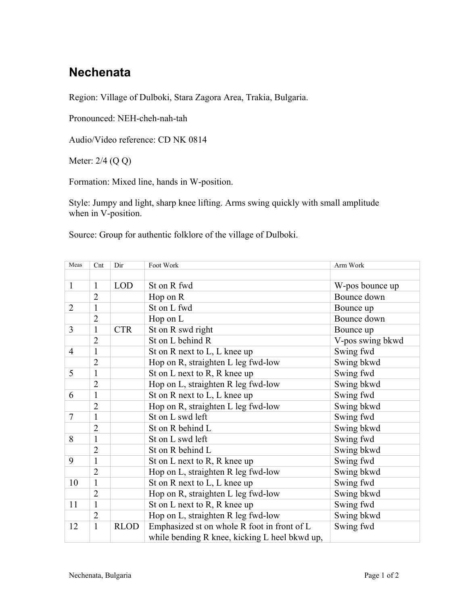## **Nechenata**

Region: Village of Dulboki, Stara Zagora Area, Trakia, Bulgaria.

Pronounced: NEH-cheh-nah-tah

Audio/Video reference: CD NK 0814

Meter: 2/4 (Q Q)

Formation: Mixed line, hands in W-position.

Style: Jumpy and light, sharp knee lifting. Arms swing quickly with small amplitude when in V-position.

Source: Group for authentic folklore of the village of Dulboki.

| Meas           | Cnt            | Dir         | Foot Work<br>Arm Work                         |                  |  |
|----------------|----------------|-------------|-----------------------------------------------|------------------|--|
|                |                |             |                                               |                  |  |
| $\mathbf{1}$   | $\mathbf{1}$   | <b>LOD</b>  | St on R fwd<br>W-pos bounce up                |                  |  |
|                | $\overline{2}$ |             | Hop on R                                      | Bounce down      |  |
| $\overline{2}$ | $\mathbf{1}$   |             | St on L fwd<br>Bounce up                      |                  |  |
|                | $\overline{2}$ |             | Hop on L                                      | Bounce down      |  |
| 3              | 1              | <b>CTR</b>  | St on R swd right                             | Bounce up        |  |
|                | $\overline{2}$ |             | St on L behind R                              | V-pos swing bkwd |  |
| $\overline{4}$ | 1              |             | St on R next to L, L knee up<br>Swing fwd     |                  |  |
|                | $\overline{2}$ |             | Hop on R, straighten L leg fwd-low            | Swing bkwd       |  |
| 5              | $\mathbf{1}$   |             | St on L next to R, R knee up                  | Swing fwd        |  |
|                | $\overline{2}$ |             | Hop on L, straighten R leg fwd-low            | Swing bkwd       |  |
| 6              | 1              |             | St on R next to L, L knee up                  | Swing fwd        |  |
|                | $\overline{2}$ |             | Hop on R, straighten L leg fwd-low            | Swing bkwd       |  |
| $\overline{7}$ | 1              |             | St on L swd left                              | Swing fwd        |  |
|                | $\overline{2}$ |             | St on R behind L                              | Swing bkwd       |  |
| 8              | 1              |             | St on L swd left                              | Swing fwd        |  |
|                | $\overline{2}$ |             | St on R behind L                              | Swing bkwd       |  |
| 9              | $\mathbf{1}$   |             | St on L next to R, R knee up                  | Swing fwd        |  |
|                | $\overline{2}$ |             | Hop on L, straighten R leg fwd-low            | Swing bkwd       |  |
| 10             | $\mathbf{1}$   |             | St on R next to L, L knee up                  | Swing fwd        |  |
|                | $\overline{2}$ |             | Hop on R, straighten L leg fwd-low            | Swing bkwd       |  |
| 11             | $\mathbf{1}$   |             | St on L next to R, R knee up                  | Swing fwd        |  |
|                | $\overline{2}$ |             | Hop on L, straighten R leg fwd-low            | Swing bkwd       |  |
| 12             | $\mathbf{1}$   | <b>RLOD</b> | Emphasized st on whole R foot in front of L   | Swing fwd        |  |
|                |                |             | while bending R knee, kicking L heel bkwd up, |                  |  |